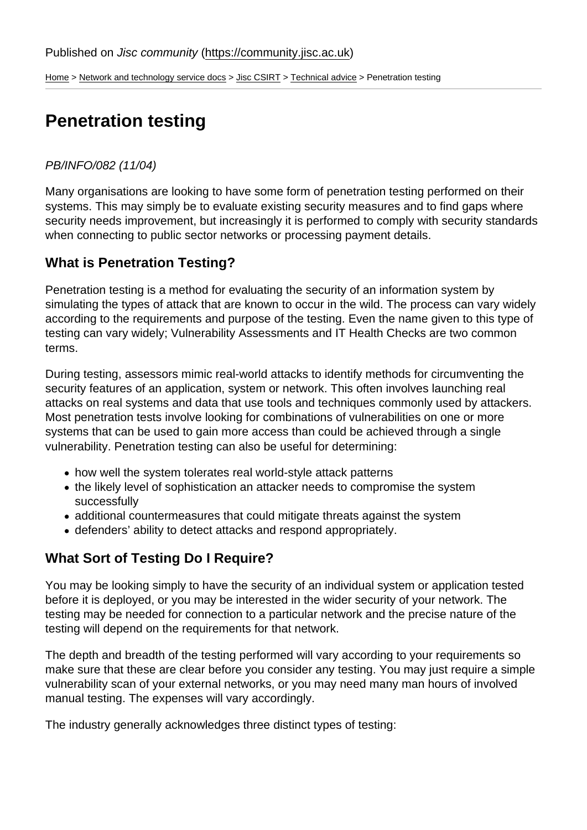[Home](https://community.jisc.ac.uk/) > [Network and technology service docs](https://community.jisc.ac.uk/library/janet-services-documentation) > [Jisc CSIRT](https://community.jisc.ac.uk/library/janet-services-documentation/janet-csirt) > [Technical advice](https://community.jisc.ac.uk/library/janet-services-documentation/technical-advice) > Penetration testing

# Penetration testing

### PB/INFO/082 (11/04)

Many organisations are looking to have some form of penetration testing performed on their systems. This may simply be to evaluate existing security measures and to find gaps where security needs improvement, but increasingly it is performed to comply with security standards when connecting to public sector networks or processing payment details.

## What is Penetration Testing?

Penetration testing is a method for evaluating the security of an information system by simulating the types of attack that are known to occur in the wild. The process can vary widely according to the requirements and purpose of the testing. Even the name given to this type of testing can vary widely; Vulnerability Assessments and IT Health Checks are two common terms.

During testing, assessors mimic real-world attacks to identify methods for circumventing the security features of an application, system or network. This often involves launching real attacks on real systems and data that use tools and techniques commonly used by attackers. Most penetration tests involve looking for combinations of vulnerabilities on one or more systems that can be used to gain more access than could be achieved through a single vulnerability. Penetration testing can also be useful for determining:

- how well the system tolerates real world-style attack patterns
- the likely level of sophistication an attacker needs to compromise the system successfully
- additional countermeasures that could mitigate threats against the system
- defenders' ability to detect attacks and respond appropriately.

## What Sort of Testing Do I Require?

You may be looking simply to have the security of an individual system or application tested before it is deployed, or you may be interested in the wider security of your network. The testing may be needed for connection to a particular network and the precise nature of the testing will depend on the requirements for that network.

The depth and breadth of the testing performed will vary according to your requirements so make sure that these are clear before you consider any testing. You may just require a simple vulnerability scan of your external networks, or you may need many man hours of involved manual testing. The expenses will vary accordingly.

The industry generally acknowledges three distinct types of testing: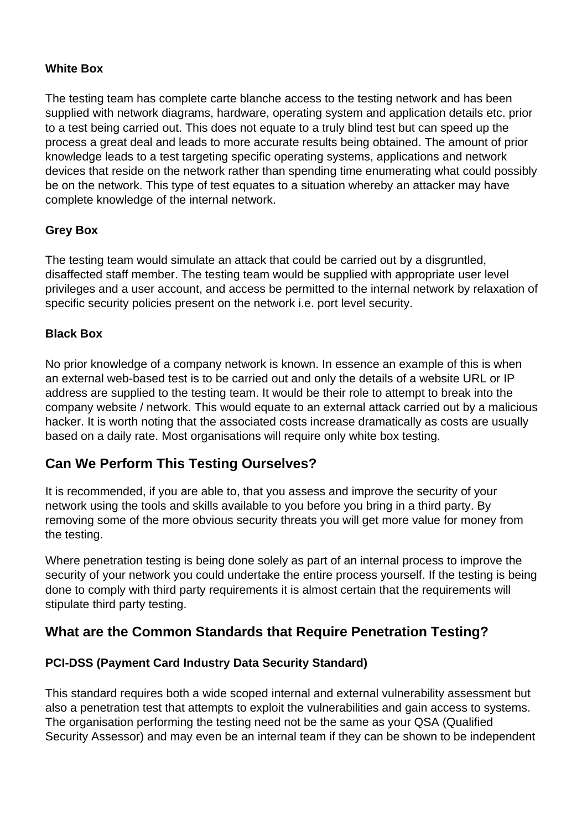#### **White Box**

The testing team has complete carte blanche access to the testing network and has been supplied with network diagrams, hardware, operating system and application details etc. prior to a test being carried out. This does not equate to a truly blind test but can speed up the process a great deal and leads to more accurate results being obtained. The amount of prior knowledge leads to a test targeting specific operating systems, applications and network devices that reside on the network rather than spending time enumerating what could possibly be on the network. This type of test equates to a situation whereby an attacker may have complete knowledge of the internal network.

#### **Grey Box**

The testing team would simulate an attack that could be carried out by a disgruntled, disaffected staff member. The testing team would be supplied with appropriate user level privileges and a user account, and access be permitted to the internal network by relaxation of specific security policies present on the network i.e. port level security.

#### **Black Box**

No prior knowledge of a company network is known. In essence an example of this is when an external web-based test is to be carried out and only the details of a website URL or IP address are supplied to the testing team. It would be their role to attempt to break into the company website / network. This would equate to an external attack carried out by a malicious hacker. It is worth noting that the associated costs increase dramatically as costs are usually based on a daily rate. Most organisations will require only white box testing.

## **Can We Perform This Testing Ourselves?**

It is recommended, if you are able to, that you assess and improve the security of your network using the tools and skills available to you before you bring in a third party. By removing some of the more obvious security threats you will get more value for money from the testing.

Where penetration testing is being done solely as part of an internal process to improve the security of your network you could undertake the entire process yourself. If the testing is being done to comply with third party requirements it is almost certain that the requirements will stipulate third party testing.

## **What are the Common Standards that Require Penetration Testing?**

#### **PCI-DSS (Payment Card Industry Data Security Standard)**

This standard requires both a wide scoped internal and external vulnerability assessment but also a penetration test that attempts to exploit the vulnerabilities and gain access to systems. The organisation performing the testing need not be the same as your QSA (Qualified Security Assessor) and may even be an internal team if they can be shown to be independent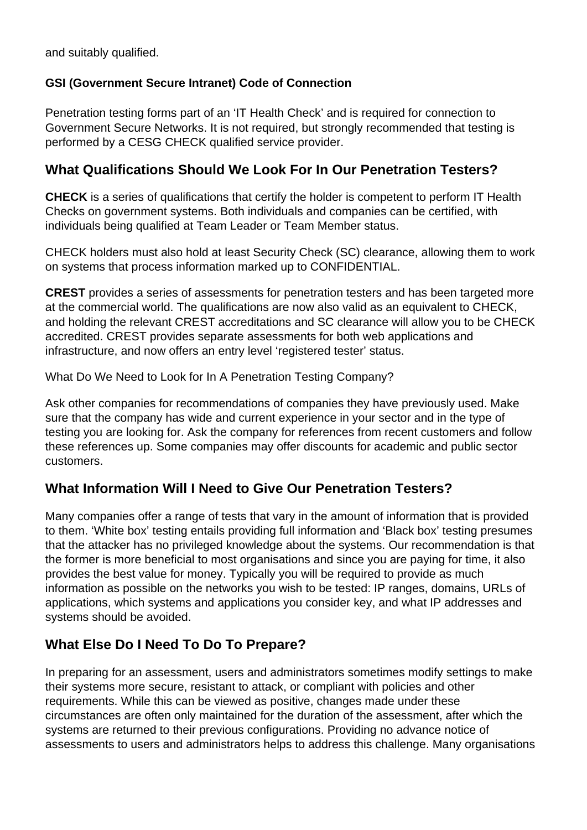and suitably qualified.

### **GSI (Government Secure Intranet) Code of Connection**

Penetration testing forms part of an 'IT Health Check' and is required for connection to Government Secure Networks. It is not required, but strongly recommended that testing is performed by a CESG CHECK qualified service provider.

## **What Qualifications Should We Look For In Our Penetration Testers?**

**CHECK** is a series of qualifications that certify the holder is competent to perform IT Health Checks on government systems. Both individuals and companies can be certified, with individuals being qualified at Team Leader or Team Member status.

CHECK holders must also hold at least Security Check (SC) clearance, allowing them to work on systems that process information marked up to CONFIDENTIAL.

**CREST** provides a series of assessments for penetration testers and has been targeted more at the commercial world. The qualifications are now also valid as an equivalent to CHECK, and holding the relevant CREST accreditations and SC clearance will allow you to be CHECK accredited. CREST provides separate assessments for both web applications and infrastructure, and now offers an entry level 'registered tester' status.

What Do We Need to Look for In A Penetration Testing Company?

Ask other companies for recommendations of companies they have previously used. Make sure that the company has wide and current experience in your sector and in the type of testing you are looking for. Ask the company for references from recent customers and follow these references up. Some companies may offer discounts for academic and public sector customers.

# **What Information Will I Need to Give Our Penetration Testers?**

Many companies offer a range of tests that vary in the amount of information that is provided to them. 'White box' testing entails providing full information and 'Black box' testing presumes that the attacker has no privileged knowledge about the systems. Our recommendation is that the former is more beneficial to most organisations and since you are paying for time, it also provides the best value for money. Typically you will be required to provide as much information as possible on the networks you wish to be tested: IP ranges, domains, URLs of applications, which systems and applications you consider key, and what IP addresses and systems should be avoided.

# **What Else Do I Need To Do To Prepare?**

In preparing for an assessment, users and administrators sometimes modify settings to make their systems more secure, resistant to attack, or compliant with policies and other requirements. While this can be viewed as positive, changes made under these circumstances are often only maintained for the duration of the assessment, after which the systems are returned to their previous configurations. Providing no advance notice of assessments to users and administrators helps to address this challenge. Many organisations